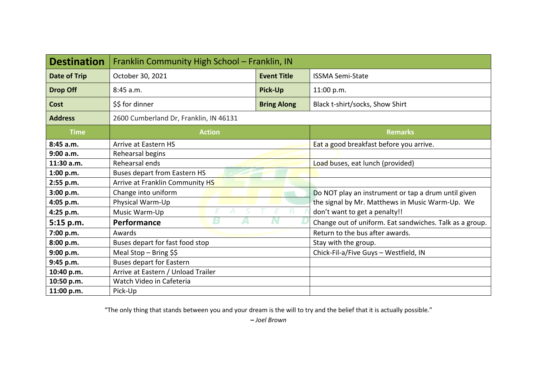| <b>Destination</b>  | Franklin Community High School - Franklin, IN |                    |                                                                                                                                         |  |  |
|---------------------|-----------------------------------------------|--------------------|-----------------------------------------------------------------------------------------------------------------------------------------|--|--|
| <b>Date of Trip</b> | October 30, 2021                              | <b>Event Title</b> | <b>ISSMA Semi-State</b>                                                                                                                 |  |  |
| <b>Drop Off</b>     | 8:45 a.m.                                     | <b>Pick-Up</b>     | 11:00 p.m.                                                                                                                              |  |  |
| <b>Cost</b>         | \$\$ for dinner                               | <b>Bring Along</b> | Black t-shirt/socks, Show Shirt                                                                                                         |  |  |
| <b>Address</b>      | 2600 Cumberland Dr, Franklin, IN 46131        |                    |                                                                                                                                         |  |  |
| <b>Time</b>         | <b>Action</b>                                 |                    | <b>Remarks</b>                                                                                                                          |  |  |
| 8:45a.m.            | Arrive at Eastern HS                          |                    | Eat a good breakfast before you arrive.                                                                                                 |  |  |
| 9:00 a.m.           | Rehearsal begins                              |                    |                                                                                                                                         |  |  |
| 11:30 a.m.          | Rehearsal ends                                |                    | Load buses, eat lunch (provided)                                                                                                        |  |  |
| 1:00 p.m.           | <b>Buses depart from Eastern HS</b>           |                    |                                                                                                                                         |  |  |
| 2:55 p.m.           | Arrive at Franklin Community HS               |                    |                                                                                                                                         |  |  |
| 3:00 p.m.           | Change into uniform                           |                    | Do NOT play an instrument or tap a drum until given<br>the signal by Mr. Matthews in Music Warm-Up. We<br>don't want to get a penalty!! |  |  |
| 4:05 p.m.           | Physical Warm-Up                              |                    |                                                                                                                                         |  |  |
| 4:25 p.m.           | А<br>Music Warm-Up                            |                    |                                                                                                                                         |  |  |
| 5:15 p.m.           | В<br>A<br>Performance                         |                    | Change out of uniform. Eat sandwiches. Talk as a group.                                                                                 |  |  |
| 7:00 p.m.           | Awards                                        |                    | Return to the bus after awards.                                                                                                         |  |  |
| 8:00 p.m.           | Buses depart for fast food stop               |                    | Stay with the group.                                                                                                                    |  |  |
| 9:00 p.m.           | Meal Stop - Bring $$$$                        |                    | Chick-Fil-a/Five Guys - Westfield, IN                                                                                                   |  |  |
| 9:45 p.m.           | <b>Buses depart for Eastern</b>               |                    |                                                                                                                                         |  |  |
| 10:40 p.m.          | Arrive at Eastern / Unload Trailer            |                    |                                                                                                                                         |  |  |
| 10:50 p.m.          | Watch Video in Cafeteria                      |                    |                                                                                                                                         |  |  |
| 11:00 p.m.          | Pick-Up                                       |                    |                                                                                                                                         |  |  |

"The only thing that stands between you and your dream is the will to try and the belief that it is actually possible."

**–** *Joel Brown*